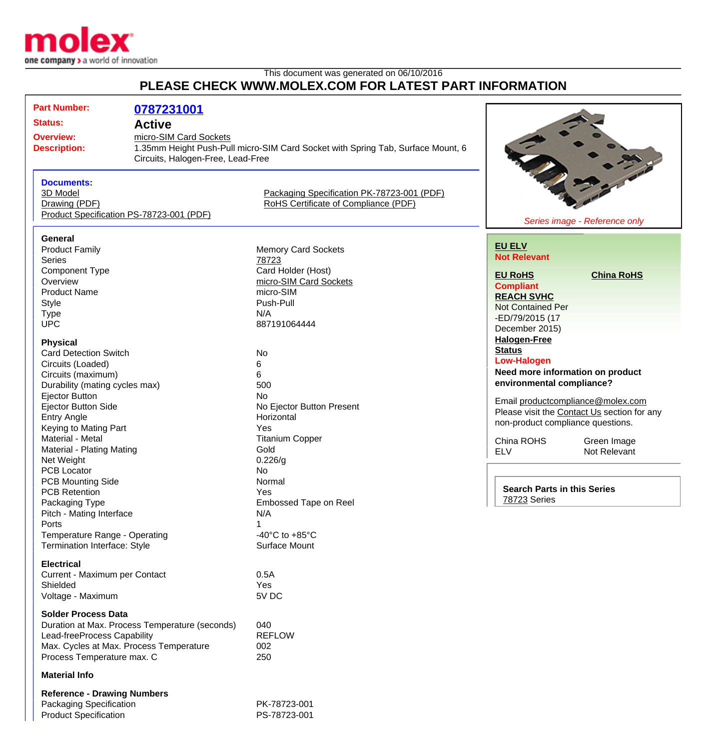

## This document was generated on 06/10/2016 **PLEASE CHECK WWW.MOLEX.COM FOR LATEST PART INFORMATION**

| <b>Part Number:</b>                                           |               |                                                                                 |                                                                                  |                                  |  |
|---------------------------------------------------------------|---------------|---------------------------------------------------------------------------------|----------------------------------------------------------------------------------|----------------------------------|--|
|                                                               | 0787231001    |                                                                                 |                                                                                  |                                  |  |
| <b>Status:</b>                                                | <b>Active</b> |                                                                                 |                                                                                  |                                  |  |
| micro-SIM Card Sockets<br><b>Overview:</b>                    |               |                                                                                 |                                                                                  |                                  |  |
| <b>Description:</b>                                           |               | 1.35mm Height Push-Pull micro-SIM Card Socket with Spring Tab, Surface Mount, 6 |                                                                                  |                                  |  |
| Circuits, Halogen-Free, Lead-Free                             |               |                                                                                 |                                                                                  |                                  |  |
|                                                               |               |                                                                                 |                                                                                  |                                  |  |
| <b>Documents:</b>                                             |               |                                                                                 |                                                                                  |                                  |  |
| 3D Model                                                      |               | Packaging Specification PK-78723-001 (PDF)                                      |                                                                                  |                                  |  |
| Drawing (PDF)                                                 |               | RoHS Certificate of Compliance (PDF)                                            |                                                                                  |                                  |  |
| Product Specification PS-78723-001 (PDF)                      |               |                                                                                 |                                                                                  |                                  |  |
|                                                               |               |                                                                                 |                                                                                  | Series image - Reference only    |  |
|                                                               |               |                                                                                 |                                                                                  |                                  |  |
| General                                                       |               |                                                                                 | <b>EU ELV</b>                                                                    |                                  |  |
| <b>Product Family</b>                                         |               | <b>Memory Card Sockets</b>                                                      | <b>Not Relevant</b>                                                              |                                  |  |
| <b>Series</b>                                                 |               | 78723                                                                           |                                                                                  |                                  |  |
| <b>Component Type</b>                                         |               | Card Holder (Host)                                                              | <b>EU RoHS</b>                                                                   | <b>China RoHS</b>                |  |
| Overview                                                      |               | micro-SIM Card Sockets                                                          | <b>Compliant</b>                                                                 |                                  |  |
| <b>Product Name</b>                                           |               | micro-SIM                                                                       | <b>REACH SVHC</b>                                                                |                                  |  |
| Style                                                         |               | Push-Pull                                                                       | <b>Not Contained Per</b>                                                         |                                  |  |
| <b>Type</b>                                                   |               | N/A                                                                             | -ED/79/2015 (17                                                                  |                                  |  |
| <b>UPC</b>                                                    |               | 887191064444                                                                    | December 2015)                                                                   |                                  |  |
|                                                               |               |                                                                                 | <b>Halogen-Free</b>                                                              |                                  |  |
| <b>Physical</b><br><b>Card Detection Switch</b>               |               | No                                                                              | <b>Status</b>                                                                    |                                  |  |
|                                                               |               |                                                                                 | <b>Low-Halogen</b>                                                               |                                  |  |
| Circuits (Loaded)                                             |               | 6<br>6                                                                          |                                                                                  | Need more information on product |  |
| Circuits (maximum)                                            |               |                                                                                 | environmental compliance?                                                        |                                  |  |
| Durability (mating cycles max)                                |               | 500                                                                             |                                                                                  |                                  |  |
| Ejector Button                                                |               | No                                                                              | Email productcompliance@molex.com<br>Please visit the Contact Us section for any |                                  |  |
| <b>Ejector Button Side</b>                                    |               | No Ejector Button Present                                                       |                                                                                  |                                  |  |
| <b>Entry Angle</b>                                            |               | Horizontal                                                                      | non-product compliance questions.                                                |                                  |  |
| Keying to Mating Part<br>Material - Metal                     |               | Yes                                                                             |                                                                                  |                                  |  |
|                                                               |               | <b>Titanium Copper</b>                                                          | China ROHS                                                                       | Green Image                      |  |
| Material - Plating Mating                                     |               | Gold                                                                            | <b>ELV</b>                                                                       | Not Relevant                     |  |
| Net Weight                                                    |               | 0.226/g                                                                         |                                                                                  |                                  |  |
| <b>PCB Locator</b>                                            |               | No                                                                              |                                                                                  |                                  |  |
| <b>PCB Mounting Side</b>                                      |               | Normal                                                                          | <b>Search Parts in this Series</b>                                               |                                  |  |
| <b>PCB Retention</b>                                          |               | Yes                                                                             | 78723 Series                                                                     |                                  |  |
| Packaging Type                                                |               | Embossed Tape on Reel                                                           |                                                                                  |                                  |  |
| Pitch - Mating Interface                                      |               | N/A                                                                             |                                                                                  |                                  |  |
| Ports                                                         |               |                                                                                 |                                                                                  |                                  |  |
| Temperature Range - Operating<br>Termination Interface: Style |               | -40 $^{\circ}$ C to +85 $^{\circ}$ C                                            |                                                                                  |                                  |  |
|                                                               |               | Surface Mount                                                                   |                                                                                  |                                  |  |
| <b>Electrical</b>                                             |               |                                                                                 |                                                                                  |                                  |  |
| Current - Maximum per Contact                                 |               | 0.5A                                                                            |                                                                                  |                                  |  |
| Shielded                                                      |               | Yes                                                                             |                                                                                  |                                  |  |
| Voltage - Maximum                                             |               | 5V DC                                                                           |                                                                                  |                                  |  |
|                                                               |               |                                                                                 |                                                                                  |                                  |  |
| <b>Solder Process Data</b>                                    |               |                                                                                 |                                                                                  |                                  |  |
| Duration at Max. Process Temperature (seconds)                |               | 040                                                                             |                                                                                  |                                  |  |
| Lead-freeProcess Capability                                   |               | <b>REFLOW</b>                                                                   |                                                                                  |                                  |  |
| Max. Cycles at Max. Process Temperature                       |               | 002                                                                             |                                                                                  |                                  |  |
| Process Temperature max. C                                    |               | 250                                                                             |                                                                                  |                                  |  |
| <b>Material Info</b>                                          |               |                                                                                 |                                                                                  |                                  |  |
|                                                               |               |                                                                                 |                                                                                  |                                  |  |
| <b>Reference - Drawing Numbers</b><br>Packaging Specification |               | PK-78723-001                                                                    |                                                                                  |                                  |  |
|                                                               |               | PS-78723-001                                                                    |                                                                                  |                                  |  |
| <b>Product Specification</b>                                  |               |                                                                                 |                                                                                  |                                  |  |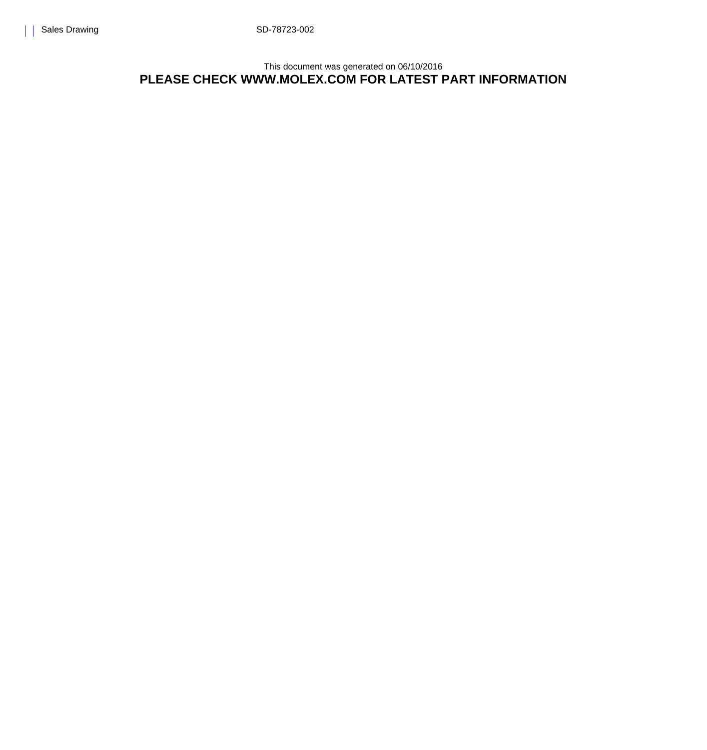This document was generated on 06/10/2016 **PLEASE CHECK WWW.MOLEX.COM FOR LATEST PART INFORMATION**